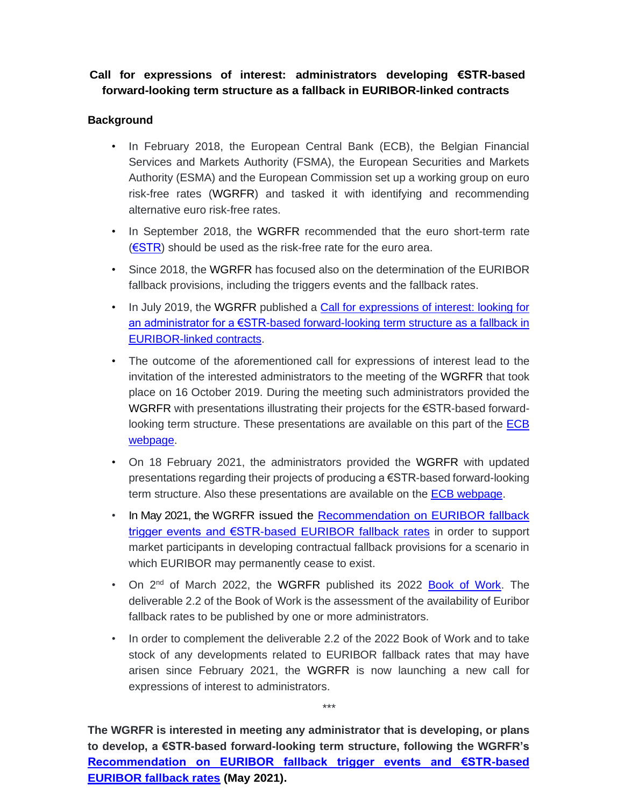## **Call for expressions of interest: administrators developing €STR-based forward-looking term structure as a fallback in EURIBOR-linked contracts**

## **Background**

- In February 2018, the European Central Bank (ECB), the Belgian Financial Services and Markets Authority (FSMA), the European Securities and Markets Authority (ESMA) and the European Commission set up a working group on euro risk-free rates (WGRFR) and tasked it with identifying and recommending alternative euro risk-free rates.
- In September 2018, the WGRFR recommended that the euro short-term rate [\(€STR\)](https://www.ecb.europa.eu/stats/financial_markets_and_interest_rates/euro_short-term_rate/html/index.en.html) should be used as the risk-free rate for the euro area.
- Since 2018, the WGRFR has focused also on the determination of the EURIBOR fallback provisions, including the triggers events and the fallback rates.
- In July 2019, the WGRFR published a Call for expressions of interest: looking for [an administrator for a €STR-based forward-looking term structure as a fallback in](https://www.ecb.europa.eu/paym/pdf/consultations/WG_on_euro_RFR_Call_to_benchmark_administrators_for_expressions_of_interest_in_producing_a_EUROSTR-based_forward-looking_term_structure.pdf)  [EURIBOR-linked contracts.](https://www.ecb.europa.eu/paym/pdf/consultations/WG_on_euro_RFR_Call_to_benchmark_administrators_for_expressions_of_interest_in_producing_a_EUROSTR-based_forward-looking_term_structure.pdf)
- The outcome of the aforementioned call for expressions of interest lead to the invitation of the interested administrators to the meeting of the WGRFR that took place on 16 October 2019. During the meeting such administrators provided the WGRFR with presentations illustrating their projects for the €STR-based forwardlooking term structure. These presentations are available on this part of the **ECB** [webpage.](https://www.ecb.europa.eu/paym/interest_rate_benchmarks/WG_euro_risk-free_rates/html/past_meetings.en.html)
- On 18 February 2021, the administrators provided the WGRFR with updated presentations regarding their projects of producing a €STR-based forward-looking term structure. Also these presentations are available on the [ECB webpage.](https://www.ecb.europa.eu/paym/interest_rate_benchmarks/WG_euro_risk-free_rates/html/past_meetings.en.html)
- In May 2021, the WGRFR issued the [Recommendation on EURIBOR fallback](https://www.ecb.europa.eu/pub/pdf/other/ecb.recommendationsEURIBORfallbacktriggereventsandESTR.202105~9e859b5aa7.en.pdf)  [trigger events and €STR-based EURIBOR fallback rates](https://www.ecb.europa.eu/pub/pdf/other/ecb.recommendationsEURIBORfallbacktriggereventsandESTR.202105~9e859b5aa7.en.pdf) in order to support market participants in developing contractual fallback provisions for a scenario in which EURIBOR may permanently cease to exist.
- On 2<sup>nd</sup> of March 2022, the WGRFR published its 2022 **Book of Work**. The deliverable 2.2 of the Book of Work is the assessment of the availability of Euribor fallback rates to be published by one or more administrators.
- In order to complement the deliverable 2.2 of the 2022 Book of Work and to take stock of any developments related to EURIBOR fallback rates that may have arisen since February 2021, the WGRFR is now launching a new call for expressions of interest to administrators.

\*\*\*

**The WGRFR is interested in meeting any administrator that is developing, or plans to develop, a €STR-based forward-looking term structure, following the WGRFR's [Recommendation on EURIBOR fallback trigger events and €STR-based](https://www.ecb.europa.eu/pub/pdf/other/ecb.recommendationsEURIBORfallbacktriggereventsandESTR.202105~9e859b5aa7.en.pdf)  [EURIBOR fallback rates](https://www.ecb.europa.eu/pub/pdf/other/ecb.recommendationsEURIBORfallbacktriggereventsandESTR.202105~9e859b5aa7.en.pdf) (May 2021).**